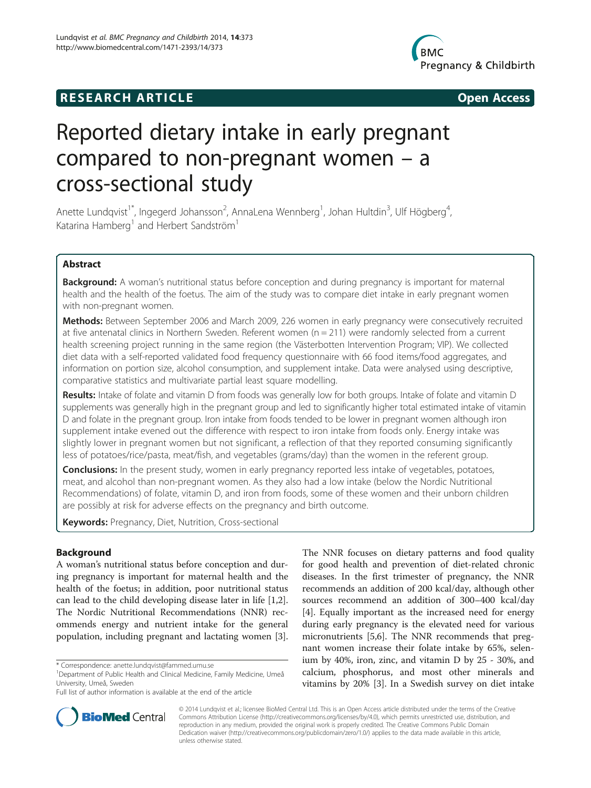## **RESEARCH ARTICLE Example 2014 12:30 The SEAR CHA RESEARCH ARTICLE**



# Reported dietary intake in early pregnant compared to non-pregnant women – a cross-sectional study

Anette Lundqvist<sup>1\*</sup>, Ingegerd Johansson<sup>2</sup>, AnnaLena Wennberg<sup>1</sup>, Johan Hultdin<sup>3</sup>, Ulf Högberg<sup>4</sup> , Katarina Hamberg<sup>1</sup> and Herbert Sandström<sup>1</sup>

## Abstract

**Background:** A woman's nutritional status before conception and during pregnancy is important for maternal health and the health of the foetus. The aim of the study was to compare diet intake in early pregnant women with non-pregnant women.

Methods: Between September 2006 and March 2009, 226 women in early pregnancy were consecutively recruited at five antenatal clinics in Northern Sweden. Referent women (n = 211) were randomly selected from a current health screening project running in the same region (the Västerbotten Intervention Program; VIP). We collected diet data with a self-reported validated food frequency questionnaire with 66 food items/food aggregates, and information on portion size, alcohol consumption, and supplement intake. Data were analysed using descriptive, comparative statistics and multivariate partial least square modelling.

Results: Intake of folate and vitamin D from foods was generally low for both groups. Intake of folate and vitamin D supplements was generally high in the pregnant group and led to significantly higher total estimated intake of vitamin D and folate in the pregnant group. Iron intake from foods tended to be lower in pregnant women although iron supplement intake evened out the difference with respect to iron intake from foods only. Energy intake was slightly lower in pregnant women but not significant, a reflection of that they reported consuming significantly less of potatoes/rice/pasta, meat/fish, and vegetables (grams/day) than the women in the referent group.

**Conclusions:** In the present study, women in early pregnancy reported less intake of vegetables, potatoes, meat, and alcohol than non-pregnant women. As they also had a low intake (below the Nordic Nutritional Recommendations) of folate, vitamin D, and iron from foods, some of these women and their unborn children are possibly at risk for adverse effects on the pregnancy and birth outcome.

Keywords: Pregnancy, Diet, Nutrition, Cross-sectional

## Background

A woman's nutritional status before conception and during pregnancy is important for maternal health and the health of the foetus; in addition, poor nutritional status can lead to the child developing disease later in life [\[1,2](#page-9-0)]. The Nordic Nutritional Recommendations (NNR) recommends energy and nutrient intake for the general population, including pregnant and lactating women [\[3](#page-9-0)].

The NNR focuses on dietary patterns and food quality for good health and prevention of diet-related chronic diseases. In the first trimester of pregnancy, the NNR recommends an addition of 200 kcal/day, although other sources recommend an addition of 300–400 kcal/day [[4\]](#page-9-0). Equally important as the increased need for energy during early pregnancy is the elevated need for various micronutrients [[5,6\]](#page-9-0). The NNR recommends that pregnant women increase their folate intake by 65%, selenium by 40%, iron, zinc, and vitamin D by 25 - 30%, and calcium, phosphorus, and most other minerals and vitamins by 20% [[3](#page-9-0)]. In a Swedish survey on diet intake



© 2014 Lundqvist et al.; licensee BioMed Central Ltd. This is an Open Access article distributed under the terms of the Creative Commons Attribution License [\(http://creativecommons.org/licenses/by/4.0\)](http://creativecommons.org/licenses/by/4.0), which permits unrestricted use, distribution, and reproduction in any medium, provided the original work is properly credited. The Creative Commons Public Domain Dedication waiver [\(http://creativecommons.org/publicdomain/zero/1.0/](http://creativecommons.org/publicdomain/zero/1.0/)) applies to the data made available in this article, unless otherwise stated.

<sup>\*</sup> Correspondence: [anette.lundqvist@fammed.umu.se](mailto:anette.lundqvist@fammed.umu.se) <sup>1</sup>

Department of Public Health and Clinical Medicine, Family Medicine, Umeå University, Umeå, Sweden

Full list of author information is available at the end of the article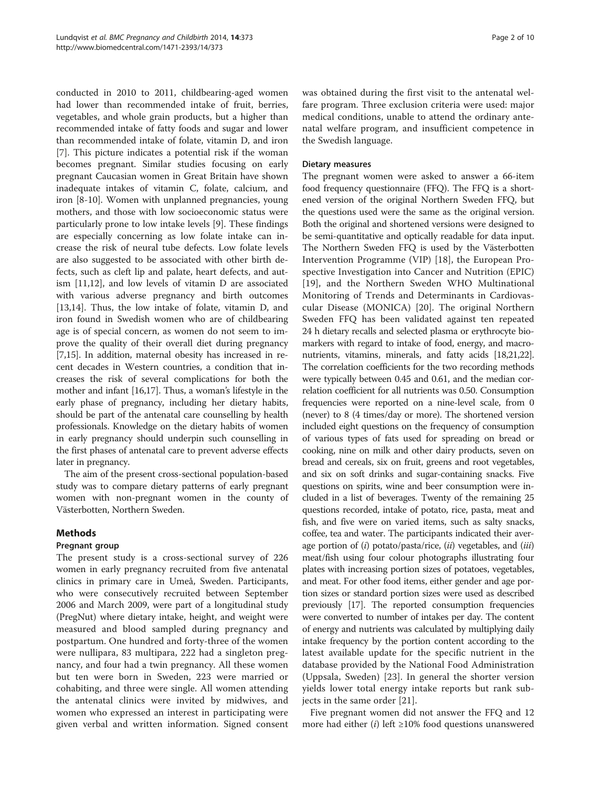conducted in 2010 to 2011, childbearing-aged women had lower than recommended intake of fruit, berries, vegetables, and whole grain products, but a higher than recommended intake of fatty foods and sugar and lower than recommended intake of folate, vitamin D, and iron [[7\]](#page-9-0). This picture indicates a potential risk if the woman becomes pregnant. Similar studies focusing on early pregnant Caucasian women in Great Britain have shown inadequate intakes of vitamin C, folate, calcium, and iron [\[8-10](#page-9-0)]. Women with unplanned pregnancies, young mothers, and those with low socioeconomic status were particularly prone to low intake levels [[9\]](#page-9-0). These findings are especially concerning as low folate intake can increase the risk of neural tube defects. Low folate levels are also suggested to be associated with other birth defects, such as cleft lip and palate, heart defects, and autism [[11,12](#page-9-0)], and low levels of vitamin D are associated with various adverse pregnancy and birth outcomes [[13,14\]](#page-9-0). Thus, the low intake of folate, vitamin D, and iron found in Swedish women who are of childbearing age is of special concern, as women do not seem to improve the quality of their overall diet during pregnancy [[7,15](#page-9-0)]. In addition, maternal obesity has increased in recent decades in Western countries, a condition that increases the risk of several complications for both the mother and infant [\[16,17\]](#page-9-0). Thus, a woman's lifestyle in the early phase of pregnancy, including her dietary habits, should be part of the antenatal care counselling by health professionals. Knowledge on the dietary habits of women in early pregnancy should underpin such counselling in the first phases of antenatal care to prevent adverse effects later in pregnancy.

The aim of the present cross-sectional population-based study was to compare dietary patterns of early pregnant women with non-pregnant women in the county of Västerbotten, Northern Sweden.

## Methods

## Pregnant group

The present study is a cross-sectional survey of 226 women in early pregnancy recruited from five antenatal clinics in primary care in Umeå, Sweden. Participants, who were consecutively recruited between September 2006 and March 2009, were part of a longitudinal study (PregNut) where dietary intake, height, and weight were measured and blood sampled during pregnancy and postpartum. One hundred and forty-three of the women were nullipara, 83 multipara, 222 had a singleton pregnancy, and four had a twin pregnancy. All these women but ten were born in Sweden, 223 were married or cohabiting, and three were single. All women attending the antenatal clinics were invited by midwives, and women who expressed an interest in participating were given verbal and written information. Signed consent

was obtained during the first visit to the antenatal welfare program. Three exclusion criteria were used: major medical conditions, unable to attend the ordinary antenatal welfare program, and insufficient competence in the Swedish language.

## Dietary measures

The pregnant women were asked to answer a 66-item food frequency questionnaire (FFQ). The FFQ is a shortened version of the original Northern Sweden FFQ, but the questions used were the same as the original version. Both the original and shortened versions were designed to be semi-quantitative and optically readable for data input. The Northern Sweden FFQ is used by the Västerbotten Intervention Programme (VIP) [[18\]](#page-9-0), the European Prospective Investigation into Cancer and Nutrition (EPIC) [[19\]](#page-9-0), and the Northern Sweden WHO Multinational Monitoring of Trends and Determinants in Cardiovascular Disease (MONICA) [\[20](#page-9-0)]. The original Northern Sweden FFQ has been validated against ten repeated 24 h dietary recalls and selected plasma or erythrocyte biomarkers with regard to intake of food, energy, and macronutrients, vitamins, minerals, and fatty acids [[18,21,22](#page-9-0)]. The correlation coefficients for the two recording methods were typically between 0.45 and 0.61, and the median correlation coefficient for all nutrients was 0.50. Consumption frequencies were reported on a nine-level scale, from 0 (never) to 8 (4 times/day or more). The shortened version included eight questions on the frequency of consumption of various types of fats used for spreading on bread or cooking, nine on milk and other dairy products, seven on bread and cereals, six on fruit, greens and root vegetables, and six on soft drinks and sugar-containing snacks. Five questions on spirits, wine and beer consumption were included in a list of beverages. Twenty of the remaining 25 questions recorded, intake of potato, rice, pasta, meat and fish, and five were on varied items, such as salty snacks, coffee, tea and water. The participants indicated their average portion of  $(i)$  potato/pasta/rice,  $(ii)$  vegetables, and  $(iii)$ meat/fish using four colour photographs illustrating four plates with increasing portion sizes of potatoes, vegetables, and meat. For other food items, either gender and age portion sizes or standard portion sizes were used as described previously [[17](#page-9-0)]. The reported consumption frequencies were converted to number of intakes per day. The content of energy and nutrients was calculated by multiplying daily intake frequency by the portion content according to the latest available update for the specific nutrient in the database provided by the National Food Administration (Uppsala, Sweden) [\[23](#page-9-0)]. In general the shorter version yields lower total energy intake reports but rank subjects in the same order [[21](#page-9-0)].

Five pregnant women did not answer the FFQ and 12 more had either (i) left  $\geq$ 10% food questions unanswered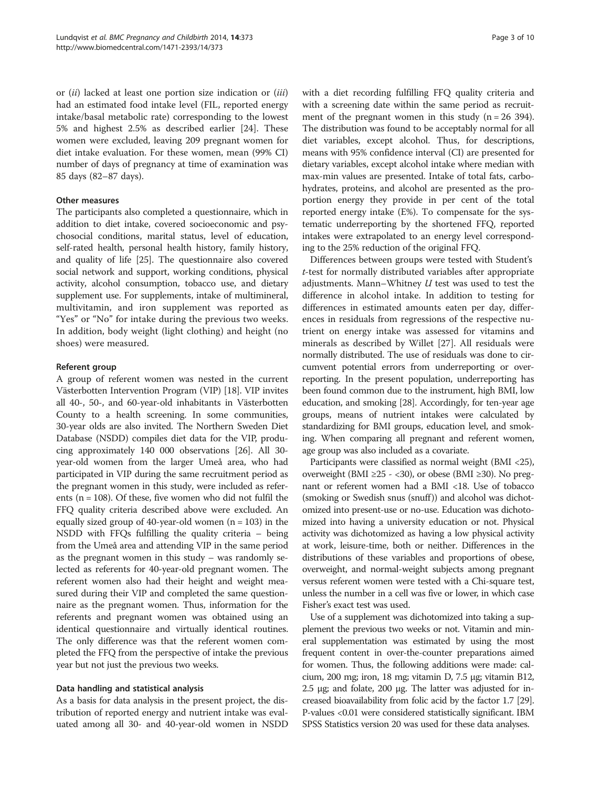or  $(ii)$  lacked at least one portion size indication or  $(iii)$ had an estimated food intake level (FIL, reported energy intake/basal metabolic rate) corresponding to the lowest 5% and highest 2.5% as described earlier [[24](#page-9-0)]. These women were excluded, leaving 209 pregnant women for diet intake evaluation. For these women, mean (99% CI) number of days of pregnancy at time of examination was 85 days (82–87 days).

## Other measures

The participants also completed a questionnaire, which in addition to diet intake, covered socioeconomic and psychosocial conditions, marital status, level of education, self-rated health, personal health history, family history, and quality of life [\[25\]](#page-9-0). The questionnaire also covered social network and support, working conditions, physical activity, alcohol consumption, tobacco use, and dietary supplement use. For supplements, intake of multimineral, multivitamin, and iron supplement was reported as "Yes" or "No" for intake during the previous two weeks. In addition, body weight (light clothing) and height (no shoes) were measured.

## Referent group

A group of referent women was nested in the current Västerbotten Intervention Program (VIP) [[18\]](#page-9-0). VIP invites all 40-, 50-, and 60-year-old inhabitants in Västerbotten County to a health screening. In some communities, 30-year olds are also invited. The Northern Sweden Diet Database (NSDD) compiles diet data for the VIP, producing approximately 140 000 observations [[26\]](#page-9-0). All 30 year-old women from the larger Umeå area, who had participated in VIP during the same recruitment period as the pregnant women in this study, were included as referents ( $n = 108$ ). Of these, five women who did not fulfil the FFQ quality criteria described above were excluded. An equally sized group of 40-year-old women  $(n = 103)$  in the NSDD with FFQs fulfilling the quality criteria – being from the Umeå area and attending VIP in the same period as the pregnant women in this study – was randomly selected as referents for 40-year-old pregnant women. The referent women also had their height and weight measured during their VIP and completed the same questionnaire as the pregnant women. Thus, information for the referents and pregnant women was obtained using an identical questionnaire and virtually identical routines. The only difference was that the referent women completed the FFQ from the perspective of intake the previous year but not just the previous two weeks.

## Data handling and statistical analysis

As a basis for data analysis in the present project, the distribution of reported energy and nutrient intake was evaluated among all 30- and 40-year-old women in NSDD with a diet recording fulfilling FFQ quality criteria and with a screening date within the same period as recruitment of the pregnant women in this study  $(n = 26 394)$ . The distribution was found to be acceptably normal for all diet variables, except alcohol. Thus, for descriptions, means with 95% confidence interval (CI) are presented for dietary variables, except alcohol intake where median with max-min values are presented. Intake of total fats, carbohydrates, proteins, and alcohol are presented as the proportion energy they provide in per cent of the total reported energy intake (E%). To compensate for the systematic underreporting by the shortened FFQ, reported intakes were extrapolated to an energy level corresponding to the 25% reduction of the original FFQ.

Differences between groups were tested with Student's t-test for normally distributed variables after appropriate adjustments. Mann–Whitney  $U$  test was used to test the difference in alcohol intake. In addition to testing for differences in estimated amounts eaten per day, differences in residuals from regressions of the respective nutrient on energy intake was assessed for vitamins and minerals as described by Willet [\[27](#page-9-0)]. All residuals were normally distributed. The use of residuals was done to circumvent potential errors from underreporting or overreporting. In the present population, underreporting has been found common due to the instrument, high BMI, low education, and smoking [[28](#page-9-0)]. Accordingly, for ten-year age groups, means of nutrient intakes were calculated by standardizing for BMI groups, education level, and smoking. When comparing all pregnant and referent women, age group was also included as a covariate.

Participants were classified as normal weight (BMI <25), overweight (BMI ≥25 - <30), or obese (BMI ≥30). No pregnant or referent women had a BMI <18. Use of tobacco (smoking or Swedish snus (snuff )) and alcohol was dichotomized into present-use or no-use. Education was dichotomized into having a university education or not. Physical activity was dichotomized as having a low physical activity at work, leisure-time, both or neither. Differences in the distributions of these variables and proportions of obese, overweight, and normal-weight subjects among pregnant versus referent women were tested with a Chi-square test, unless the number in a cell was five or lower, in which case Fisher's exact test was used.

Use of a supplement was dichotomized into taking a supplement the previous two weeks or not. Vitamin and mineral supplementation was estimated by using the most frequent content in over-the-counter preparations aimed for women. Thus, the following additions were made: calcium, 200 mg; iron, 18 mg; vitamin D, 7.5 μg; vitamin B12, 2.5 μg; and folate, 200 μg. The latter was adjusted for increased bioavailability from folic acid by the factor 1.7 [\[29](#page-9-0)]. P-values <0.01 were considered statistically significant. IBM SPSS Statistics version 20 was used for these data analyses.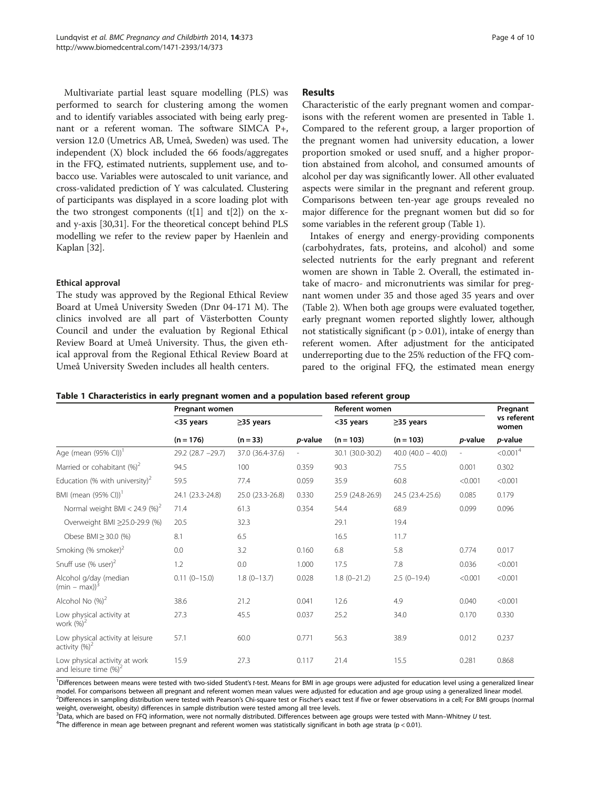Multivariate partial least square modelling (PLS) was performed to search for clustering among the women and to identify variables associated with being early pregnant or a referent woman. The software SIMCA P+, version 12.0 (Umetrics AB, Umeå, Sweden) was used. The independent (X) block included the 66 foods/aggregates in the FFQ, estimated nutrients, supplement use, and tobacco use. Variables were autoscaled to unit variance, and cross-validated prediction of Y was calculated. Clustering of participants was displayed in a score loading plot with the two strongest components  $(t[1]$  and  $t[2]$  on the xand y-axis [\[30,31\]](#page-9-0). For the theoretical concept behind PLS modelling we refer to the review paper by Haenlein and Kaplan [\[32](#page-9-0)].

## Ethical approval

The study was approved by the Regional Ethical Review Board at Umeå University Sweden (Dnr 04-171 M). The clinics involved are all part of Västerbotten County Council and under the evaluation by Regional Ethical Review Board at Umeå University. Thus, the given ethical approval from the Regional Ethical Review Board at Umeå University Sweden includes all health centers.

## Results

Characteristic of the early pregnant women and comparisons with the referent women are presented in Table 1. Compared to the referent group, a larger proportion of the pregnant women had university education, a lower proportion smoked or used snuff, and a higher proportion abstained from alcohol, and consumed amounts of alcohol per day was significantly lower. All other evaluated aspects were similar in the pregnant and referent group. Comparisons between ten-year age groups revealed no major difference for the pregnant women but did so for some variables in the referent group (Table 1).

Intakes of energy and energy-providing components (carbohydrates, fats, proteins, and alcohol) and some selected nutrients for the early pregnant and referent women are shown in Table [2.](#page-4-0) Overall, the estimated intake of macro- and micronutrients was similar for pregnant women under 35 and those aged 35 years and over (Table [2](#page-4-0)). When both age groups were evaluated together, early pregnant women reported slightly lower, although not statistically significant ( $p > 0.01$ ), intake of energy than referent women. After adjustment for the anticipated underreporting due to the 25% reduction of the FFQ compared to the original FFQ, the estimated mean energy

|  | Table 1 Characteristics in early pregnant women and a population based referent group |  |  |  |  |  |
|--|---------------------------------------------------------------------------------------|--|--|--|--|--|
|--|---------------------------------------------------------------------------------------|--|--|--|--|--|

|                                                            | Pregnant women     |                  |                          | <b>Referent women</b> | Pregnant               |         |                      |  |
|------------------------------------------------------------|--------------------|------------------|--------------------------|-----------------------|------------------------|---------|----------------------|--|
|                                                            | <35 years          | $\geq$ 35 years  |                          | <35 years             | $\geq$ 35 years        |         | vs referent<br>women |  |
|                                                            | $(n = 176)$        | $(n = 33)$       | p-value                  | $(n = 103)$           | $(n = 103)$            | p-value | p-value              |  |
| Age (mean (95% CI)) <sup>1</sup>                           | 29.2 (28.7 - 29.7) | 37.0 (36.4-37.6) | $\overline{\phantom{a}}$ | 30.1 (30.0-30.2)      | $40.0$ $(40.0 - 40.0)$ | $\sim$  | < 0.001 <sup>4</sup> |  |
| Married or cohabitant $(\%)^2$                             | 94.5               | 100              | 0.359                    | 90.3                  | 75.5                   | 0.001   | 0.302                |  |
| Education (% with university) <sup>2</sup>                 | 59.5               | 77.4             | 0.059                    | 35.9                  | 60.8                   | < 0.001 | < 0.001              |  |
| BMI (mean (95% CI)) <sup>1</sup>                           | 24.1 (23.3-24.8)   | 25.0 (23.3-26.8) | 0.330                    | 25.9 (24.8-26.9)      | 24.5 (23.4-25.6)       | 0.085   | 0.179                |  |
| Normal weight BMI < 24.9 $(\%)^2$                          | 71.4               | 61.3             | 0.354                    | 54.4                  | 68.9                   | 0.099   | 0.096                |  |
| Overweight BMI ≥25.0-29.9 (%)                              | 20.5               | 32.3             |                          | 29.1                  | 19.4                   |         |                      |  |
| Obese BMI ≥ 30.0 (%)                                       | 8.1                | 6.5              |                          | 16.5                  | 11.7                   |         |                      |  |
| Smoking (% smoker) $2$                                     | 0.0                | 3.2              | 0.160                    | 6.8                   | 5.8                    | 0.774   | 0.017                |  |
| Snuff use $%$ user) <sup>2</sup>                           | 1.2                | 0.0              | 1.000                    | 17.5                  | 7.8                    | 0.036   | < 0.001              |  |
| Alcohol g/day (median<br>$(min - max))^3$                  | $0.11(0 - 15.0)$   | $1.8$ (0-13.7)   | 0.028                    | $1.8(0-21.2)$         | $2.5(0-19.4)$          | < 0.001 | < 0.001              |  |
| Alcohol No $(%)^2$                                         | 38.6               | 21.2             | 0.041                    | 12.6                  | 4.9                    | 0.040   | < 0.001              |  |
| Low physical activity at<br>work $(\%)^2$                  | 27.3               | 45.5             | 0.037                    | 25.2                  | 34.0                   | 0.170   | 0.330                |  |
| Low physical activity at leisure<br>activity $(%)^2$       | 57.1               | 60.0             | 0.771                    | 56.3                  | 38.9                   | 0.012   | 0.237                |  |
| Low physical activity at work<br>and leisure time $(\%)^2$ | 15.9               | 27.3             | 0.117                    | 21.4                  | 15.5                   | 0.281   | 0.868                |  |

<sup>1</sup>Differences between means were tested with two-sided Student's t-test. Means for BMI in age groups were adjusted for education level using a generalized linear model. For comparisons between all pregnant and referent women mean values were adjusted for education and age group using a generalized linear model. <sup>2</sup> Differences in sampling distribution were tested with Pearson's Chi-square test or Fischer's exact test if five or fewer observations in a cell; For BMI groups (normal weight, overweight, obesity) differences in sample distribution were tested among all tree levels.

<sup>3</sup>Data, which are based on FFQ information, were not normally distributed. Differences between age groups were tested with Mann–Whitney U test.<br><sup>4</sup>The difference in mean age between pregnant and referent women was statis

<sup>4</sup>The difference in mean age between pregnant and referent women was statistically significant in both age strata ( $p < 0.01$ ).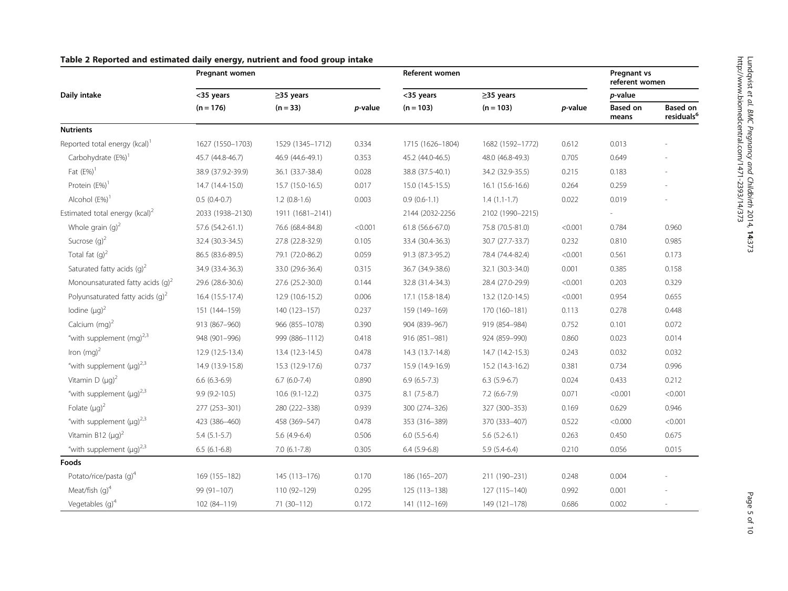|                                            | Pregnant women     |                  |                 | Referent women           |                                |                 | Pregnant vs<br>referent women |                                           |
|--------------------------------------------|--------------------|------------------|-----------------|--------------------------|--------------------------------|-----------------|-------------------------------|-------------------------------------------|
| Daily intake                               | <35 years          | $\geq$ 35 years  |                 | <35 years<br>$(n = 103)$ | $\geq$ 35 years<br>$(n = 103)$ | <i>p</i> -value | p-value                       |                                           |
|                                            | $(n = 176)$        | $(n = 33)$       | <i>p</i> -value |                          |                                |                 | <b>Based on</b><br>means      | <b>Based on</b><br>residuals <sup>6</sup> |
| <b>Nutrients</b>                           |                    |                  |                 |                          |                                |                 |                               |                                           |
| Reported total energy (kcal) <sup>1</sup>  | 1627 (1550-1703)   | 1529 (1345-1712) | 0.334           | 1715 (1626-1804)         | 1682 (1592-1772)               | 0.612           | 0.013                         |                                           |
| Carbohydrate (E%) <sup>1</sup>             | 45.7 (44.8-46.7)   | 46.9 (44.6-49.1) | 0.353           | 45.2 (44.0-46.5)         | 48.0 (46.8-49.3)               | 0.705           | 0.649                         |                                           |
| Fat $(E\%)$ <sup>1</sup>                   | 38.9 (37.9.2-39.9) | 36.1 (33.7-38.4) | 0.028           | 38.8 (37.5-40.1)         | 34.2 (32.9-35.5)               | 0.215           | 0.183                         |                                           |
| Protein $(E\%)$ <sup>1</sup>               | 14.7 (14.4-15.0)   | 15.7 (15.0-16.5) | 0.017           | $15.0(14.5-15.5)$        | 16.1 (15.6-16.6)               | 0.264           | 0.259                         |                                           |
| Alcohol $(E\%)$ <sup>1</sup>               | $0.5(0.4-0.7)$     | $1.2(0.8-1.6)$   | 0.003           | $0.9(0.6-1.1)$           | $1.4(1.1-1.7)$                 | 0.022           | 0.019                         |                                           |
| Estimated total energy (kcal) <sup>2</sup> | 2033 (1938-2130)   | 1911 (1681-2141) |                 | 2144 (2032-2256          | 2102 (1990-2215)               |                 |                               |                                           |
| Whole grain $(g)^2$                        | 57.6 (54.2-61.1)   | 76.6 (68.4-84.8) | < 0.001         | 61.8 (56.6-67.0)         | 75.8 (70.5-81.0)               | < 0.001         | 0.784                         | 0.960                                     |
| Sucrose $(q)^2$                            | 32.4 (30.3-34.5)   | 27.8 (22.8-32.9) | 0.105           | 33.4 (30.4-36.3)         | 30.7 (27.7-33.7)               | 0.232           | 0.810                         | 0.985                                     |
| Total fat $(g)^2$                          | 86.5 (83.6-89.5)   | 79.1 (72.0-86.2) | 0.059           | 91.3 (87.3-95.2)         | 78.4 (74.4-82.4)               | < 0.001         | 0.561                         | 0.173                                     |
| Saturated fatty acids $(g)^2$              | 34.9 (33.4-36.3)   | 33.0 (29.6-36.4) | 0.315           | 36.7 (34.9-38.6)         | 32.1 (30.3-34.0)               | 0.001           | 0.385                         | 0.158                                     |
| Monounsaturated fatty acids $(q)^2$        | 29.6 (28.6-30.6)   | 27.6 (25.2-30.0) | 0.144           | 32.8 (31.4-34.3)         | 28.4 (27.0-29.9)               | < 0.001         | 0.203                         | 0.329                                     |
| Polyunsaturated fatty acids $(g)^2$        | 16.4 (15.5-17.4)   | 12.9 (10.6-15.2) | 0.006           | 17.1 (15.8-18.4)         | 13.2 (12.0-14.5)               | < 0.001         | 0.954                         | 0.655                                     |
| lodine $(\mu q)^2$                         | 151 (144-159)      | 140 (123-157)    | 0.237           | 159 (149-169)            | 170 (160-181)                  | 0.113           | 0.278                         | 0.448                                     |
| Calcium $(mg)^2$                           | 913 (867-960)      | 966 (855-1078)   | 0.390           | 904 (839-967)            | 919 (854-984)                  | 0.752           | 0.101                         | 0.072                                     |
| "with supplement (mg) <sup>2,3</sup>       | 948 (901-996)      | 999 (886-1112)   | 0.418           | 916 (851-981)            | 924 (859-990)                  | 0.860           | 0.023                         | 0.014                                     |
| Iron $(mq)^2$                              | 12.9 (12.5-13.4)   | 13.4 (12.3-14.5) | 0.478           | 14.3 (13.7-14.8)         | 14.7 (14.2-15.3)               | 0.243           | 0.032                         | 0.032                                     |
| "with supplement $(\mu g)^{2,3}$           | 14.9 (13.9-15.8)   | 15.3 (12.9-17.6) | 0.737           | 15.9 (14.9-16.9)         | 15.2 (14.3-16.2)               | 0.381           | 0.734                         | 0.996                                     |
| Vitamin D $(\mu q)^2$                      | $6.6(6.3-6.9)$     | $6.7(6.0-7.4)$   | 0.890           | $6.9(6.5-7.3)$           | $6.3(5.9-6.7)$                 | 0.024           | 0.433                         | 0.212                                     |
| "with supplement $(\mu g)^{2,3}$           | $9.9(9.2 - 10.5)$  | $10.6(9.1-12.2)$ | 0.375           | $8.1(7.5-8.7)$           | $7.2$ (6.6-7.9)                | 0.071           | < 0.001                       | < 0.001                                   |
| Folate $(\mu g)^2$                         | 277 (253-301)      | 280 (222-338)    | 0.939           | 300 (274-326)            | 327 (300-353)                  | 0.169           | 0.629                         | 0.946                                     |
| "with supplement $(\mu q)^{2,3}$           | 423 (386-460)      | 458 (369-547)    | 0.478           | 353 (316-389)            | 370 (333-407)                  | 0.522           | < 0.000                       | < 0.001                                   |
| Vitamin B12 $(\mu g)^2$                    | $5.4(5.1-5.7)$     | $5.6(4.9-6.4)$   | 0.506           | $6.0$ (5.5-6.4)          | $5.6$ (5.2-6.1)                | 0.263           | 0.450                         | 0.675                                     |
| "with supplement (µg) <sup>2,3</sup>       | $6.5(6.1-6.8)$     | $7.0(6.1-7.8)$   | 0.305           | $6.4(5.9-6.8)$           | $5.9(5.4-6.4)$                 | 0.210           | 0.056                         | 0.015                                     |
| Foods                                      |                    |                  |                 |                          |                                |                 |                               |                                           |
| Potato/rice/pasta (g) <sup>4</sup>         | 169 (155-182)      | 145 (113-176)    | 0.170           | 186 (165-207)            | 211 (190-231)                  | 0.248           | 0.004                         |                                           |
| Meat/fish $(q)^4$                          | 99 (91-107)        | 110 (92-129)     | 0.295           | 125 (113-138)            | 127 (115-140)                  | 0.992           | 0.001                         |                                           |
| Vegetables $(q)^4$                         | 102 (84-119)       | 71 (30-112)      | 0.172           | 141 (112-169)            | 149 (121-178)                  | 0.686           | 0.002                         |                                           |

## <span id="page-4-0"></span>Table 2 Reported and estimated daily energy, nutrient and food group intake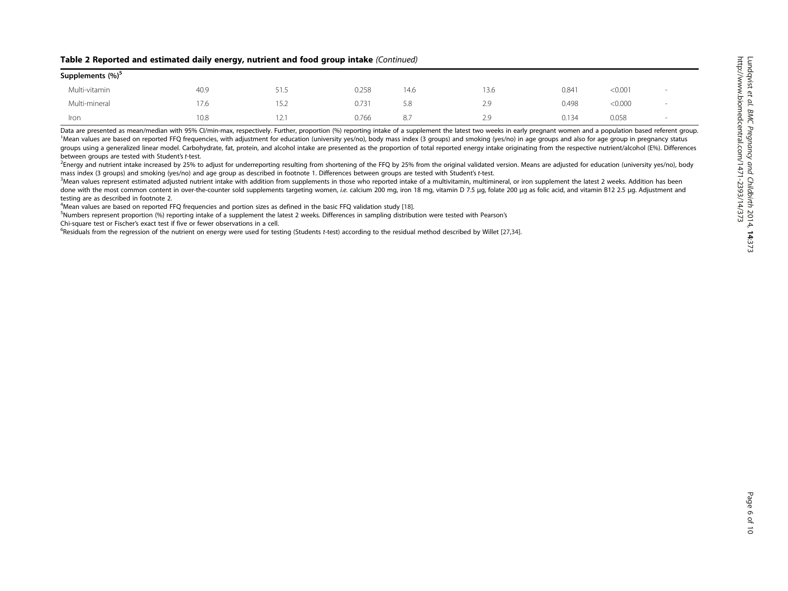#### Table 2 Reported and estimated daily energy, nutrient and food group intake (Continued)

| Supplements (%) <sup>5</sup> |      |              |       |      |                |       |         |        |
|------------------------------|------|--------------|-------|------|----------------|-------|---------|--------|
| Multi-vitamin                | 40.9 | 51.5         | 0.258 | 14.6 | 13.6           | 0.841 | < 0.001 | $\,$   |
| Multi-mineral                | 17.6 | 152<br>1 J.Z | 0.731 | 5.8  | 2.9            | 0.498 | < 0.000 | $\sim$ |
| Iron                         | 10.8 | 121<br>12.I  | 0.766 | 8.7  | 29<br><u>.</u> | 0.134 | 0.058   |        |

Data are presented as mean/median with 95% Cl/min-max, respectively. Further, proportion (%) reporting intake of a supplement the latest two weeks in early pregnant women and a population based referent group. <sup>1</sup>Mean values are based on reported FFO frequencies, with adjustment for education (university yes/no), body mass index (3 groups) and smoking (yes/no) in age groups and also for age group in pregnancy status groups using a generalized linear model. Carbohydrate, fat, protein, and alcohol intake are presented as the proportion of total reported energy intake originating from the respective nutrient/alcohol (E%). Differences between groups are tested with Student's t-test.

<sup>2</sup>Energy and nutrient intake increased by 25% to adjust for underreporting resulting from shortening of the FFQ by 25% from the original validated version. Means are adjusted for education (university yes/no), body mass

mass index (3 groups) and smoking (yes/no) and age group as described in footnote 1. Differences between groups are tested with Student's t-test.<br><sup>3</sup>Mean values represent estimated adjusted nutrient intake with addition fr done with the most common content in over-the-counter sold supplements targeting women, i.e. calcium 200 mg, iron 18 mg, vitamin D 7.5 μg, folate 200 μg as folic acid, and vitamin B12 2.5 μg. Adjustment and testing are as described in footnote 2.

<sup>4</sup>Mean values are based on reported FFO frequencies and portion sizes as defined in the basic FFO validation study [18].

"Mean values are based on reported FFQ frequencies and portion sizes as defined in the basic FFQ validation study [[18](#page-9-0)].<br><sup>5</sup>Numbers represent proportion (%) reporting intake of a supplement the latest 2 weeks. Differences i

Chi-square test or Fischer's exact test if five or fewer observations in a cell. <sup>6</sup>

<sup>6</sup>Residuals from the regression of the nutrient on energy were used for testing (Students t-test) according to the residual method described by Willet [\[27,34](#page-9-0)].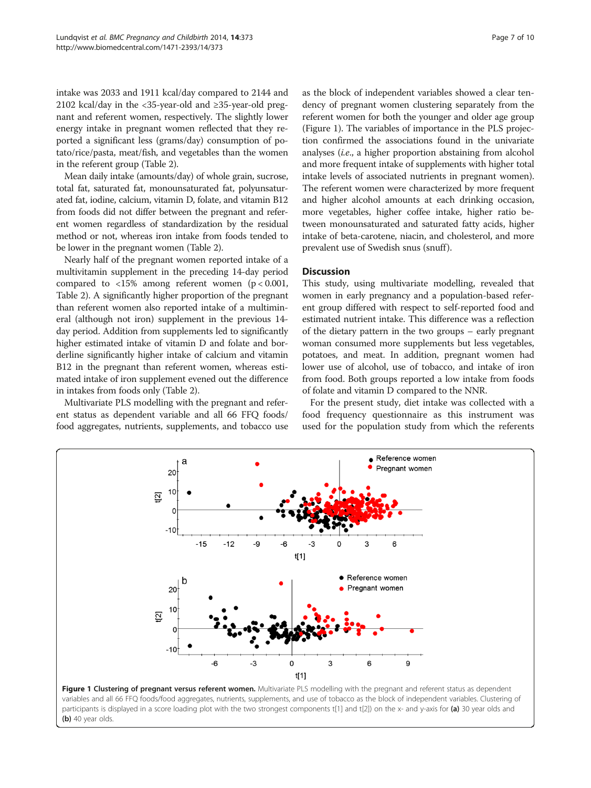intake was 2033 and 1911 kcal/day compared to 2144 and 2102 kcal/day in the <35-year-old and ≥35-year-old pregnant and referent women, respectively. The slightly lower energy intake in pregnant women reflected that they reported a significant less (grams/day) consumption of potato/rice/pasta, meat/fish, and vegetables than the women in the referent group (Table [2\)](#page-4-0).

Mean daily intake (amounts/day) of whole grain, sucrose, total fat, saturated fat, monounsaturated fat, polyunsaturated fat, iodine, calcium, vitamin D, folate, and vitamin B12 from foods did not differ between the pregnant and referent women regardless of standardization by the residual method or not, whereas iron intake from foods tended to be lower in the pregnant women (Table [2](#page-4-0)).

Nearly half of the pregnant women reported intake of a multivitamin supplement in the preceding 14-day period compared to  $\langle 15\%$  among referent women (p  $\langle 0.001,$ Table [2](#page-4-0)). A significantly higher proportion of the pregnant than referent women also reported intake of a multimineral (although not iron) supplement in the previous 14 day period. Addition from supplements led to significantly higher estimated intake of vitamin D and folate and borderline significantly higher intake of calcium and vitamin B12 in the pregnant than referent women, whereas estimated intake of iron supplement evened out the difference in intakes from foods only (Table [2\)](#page-4-0).

Multivariate PLS modelling with the pregnant and referent status as dependent variable and all 66 FFQ foods/ food aggregates, nutrients, supplements, and tobacco use

as the block of independent variables showed a clear tendency of pregnant women clustering separately from the referent women for both the younger and older age group (Figure 1). The variables of importance in the PLS projection confirmed the associations found in the univariate analyses (i.e., a higher proportion abstaining from alcohol and more frequent intake of supplements with higher total intake levels of associated nutrients in pregnant women). The referent women were characterized by more frequent and higher alcohol amounts at each drinking occasion, more vegetables, higher coffee intake, higher ratio between monounsaturated and saturated fatty acids, higher intake of beta-carotene, niacin, and cholesterol, and more prevalent use of Swedish snus (snuff).

## **Discussion**

This study, using multivariate modelling, revealed that women in early pregnancy and a population-based referent group differed with respect to self-reported food and estimated nutrient intake. This difference was a reflection of the dietary pattern in the two groups – early pregnant woman consumed more supplements but less vegetables, potatoes, and meat. In addition, pregnant women had lower use of alcohol, use of tobacco, and intake of iron from food. Both groups reported a low intake from foods of folate and vitamin D compared to the NNR.

For the present study, diet intake was collected with a food frequency questionnaire as this instrument was used for the population study from which the referents



participants is displayed in a score loading plot with the two strongest components t[1] and t[2]) on the x- and y-axis for (a) 30 year olds and (b) 40 year olds.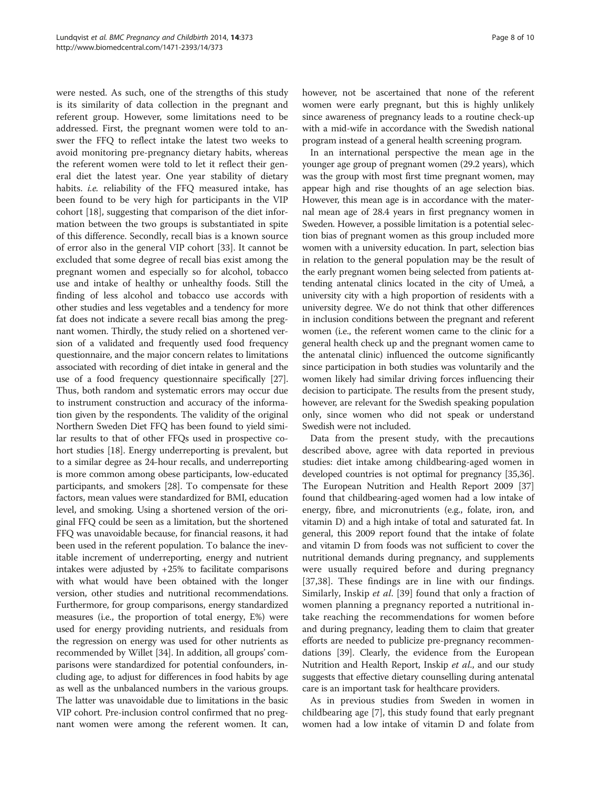were nested. As such, one of the strengths of this study is its similarity of data collection in the pregnant and referent group. However, some limitations need to be addressed. First, the pregnant women were told to answer the FFQ to reflect intake the latest two weeks to avoid monitoring pre-pregnancy dietary habits, whereas the referent women were told to let it reflect their general diet the latest year. One year stability of dietary habits. i.e. reliability of the FFQ measured intake, has been found to be very high for participants in the VIP cohort [[18](#page-9-0)], suggesting that comparison of the diet information between the two groups is substantiated in spite of this difference. Secondly, recall bias is a known source of error also in the general VIP cohort [\[33\]](#page-9-0). It cannot be excluded that some degree of recall bias exist among the pregnant women and especially so for alcohol, tobacco use and intake of healthy or unhealthy foods. Still the finding of less alcohol and tobacco use accords with other studies and less vegetables and a tendency for more fat does not indicate a severe recall bias among the pregnant women. Thirdly, the study relied on a shortened version of a validated and frequently used food frequency questionnaire, and the major concern relates to limitations associated with recording of diet intake in general and the use of a food frequency questionnaire specifically [[27](#page-9-0)]. Thus, both random and systematic errors may occur due to instrument construction and accuracy of the information given by the respondents. The validity of the original Northern Sweden Diet FFQ has been found to yield similar results to that of other FFQs used in prospective cohort studies [\[18\]](#page-9-0). Energy underreporting is prevalent, but to a similar degree as 24-hour recalls, and underreporting is more common among obese participants, low-educated participants, and smokers [[28](#page-9-0)]. To compensate for these factors, mean values were standardized for BMI, education level, and smoking. Using a shortened version of the original FFQ could be seen as a limitation, but the shortened FFQ was unavoidable because, for financial reasons, it had been used in the referent population. To balance the inevitable increment of underreporting, energy and nutrient intakes were adjusted by +25% to facilitate comparisons with what would have been obtained with the longer version, other studies and nutritional recommendations. Furthermore, for group comparisons, energy standardized measures (i.e., the proportion of total energy, E%) were used for energy providing nutrients, and residuals from the regression on energy was used for other nutrients as recommended by Willet [[34](#page-9-0)]. In addition, all groups' comparisons were standardized for potential confounders, including age, to adjust for differences in food habits by age as well as the unbalanced numbers in the various groups. The latter was unavoidable due to limitations in the basic VIP cohort. Pre-inclusion control confirmed that no pregnant women were among the referent women. It can, however, not be ascertained that none of the referent women were early pregnant, but this is highly unlikely since awareness of pregnancy leads to a routine check-up with a mid-wife in accordance with the Swedish national program instead of a general health screening program.

In an international perspective the mean age in the younger age group of pregnant women (29.2 years), which was the group with most first time pregnant women, may appear high and rise thoughts of an age selection bias. However, this mean age is in accordance with the maternal mean age of 28.4 years in first pregnancy women in Sweden. However, a possible limitation is a potential selection bias of pregnant women as this group included more women with a university education. In part, selection bias in relation to the general population may be the result of the early pregnant women being selected from patients attending antenatal clinics located in the city of Umeå, a university city with a high proportion of residents with a university degree. We do not think that other differences in inclusion conditions between the pregnant and referent women (i.e., the referent women came to the clinic for a general health check up and the pregnant women came to the antenatal clinic) influenced the outcome significantly since participation in both studies was voluntarily and the women likely had similar driving forces influencing their decision to participate. The results from the present study, however, are relevant for the Swedish speaking population only, since women who did not speak or understand Swedish were not included.

Data from the present study, with the precautions described above, agree with data reported in previous studies: diet intake among childbearing-aged women in developed countries is not optimal for pregnancy [\[35,36](#page-9-0)]. The European Nutrition and Health Report 2009 [[37](#page-9-0)] found that childbearing-aged women had a low intake of energy, fibre, and micronutrients (e.g., folate, iron, and vitamin D) and a high intake of total and saturated fat. In general, this 2009 report found that the intake of folate and vitamin D from foods was not sufficient to cover the nutritional demands during pregnancy, and supplements were usually required before and during pregnancy [[37,38](#page-9-0)]. These findings are in line with our findings. Similarly, Inskip et al. [[39](#page-9-0)] found that only a fraction of women planning a pregnancy reported a nutritional intake reaching the recommendations for women before and during pregnancy, leading them to claim that greater efforts are needed to publicize pre-pregnancy recommendations [\[39](#page-9-0)]. Clearly, the evidence from the European Nutrition and Health Report, Inskip et al., and our study suggests that effective dietary counselling during antenatal care is an important task for healthcare providers.

As in previous studies from Sweden in women in childbearing age [[7\]](#page-9-0), this study found that early pregnant women had a low intake of vitamin D and folate from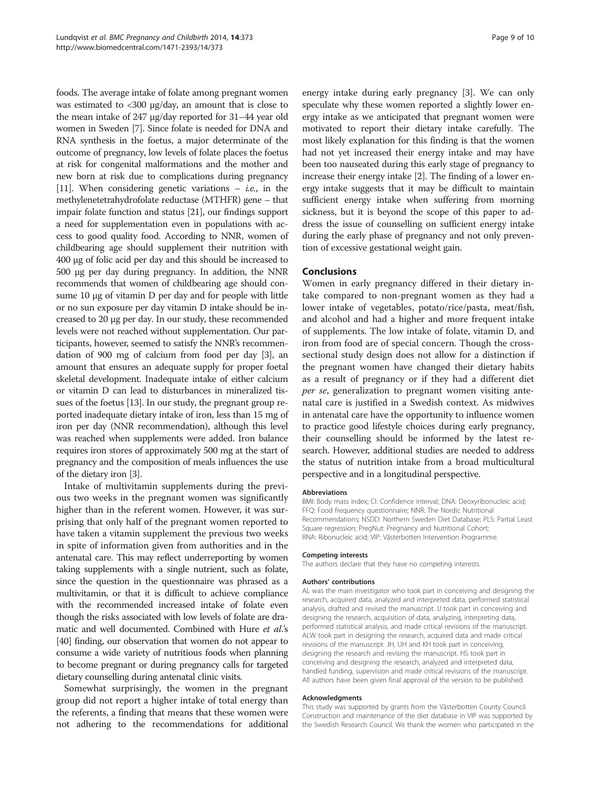foods. The average intake of folate among pregnant women was estimated to <300 μg/day, an amount that is close to the mean intake of 247 μg/day reported for 31–44 year old women in Sweden [\[7\]](#page-9-0). Since folate is needed for DNA and RNA synthesis in the foetus, a major determinate of the outcome of pregnancy, low levels of folate places the foetus at risk for congenital malformations and the mother and new born at risk due to complications during pregnancy [[11](#page-9-0)]. When considering genetic variations  $-$  *i.e.*, in the methylenetetrahydrofolate reductase (MTHFR) gene – that impair folate function and status [[21](#page-9-0)], our findings support a need for supplementation even in populations with access to good quality food. According to NNR, women of childbearing age should supplement their nutrition with 400 μg of folic acid per day and this should be increased to 500 μg per day during pregnancy. In addition, the NNR recommends that women of childbearing age should consume 10 μg of vitamin D per day and for people with little or no sun exposure per day vitamin D intake should be increased to 20 μg per day. In our study, these recommended levels were not reached without supplementation. Our participants, however, seemed to satisfy the NNR's recommendation of 900 mg of calcium from food per day [[3](#page-9-0)], an amount that ensures an adequate supply for proper foetal skeletal development. Inadequate intake of either calcium or vitamin D can lead to disturbances in mineralized tissues of the foetus [[13](#page-9-0)]. In our study, the pregnant group reported inadequate dietary intake of iron, less than 15 mg of iron per day (NNR recommendation), although this level was reached when supplements were added. Iron balance requires iron stores of approximately 500 mg at the start of pregnancy and the composition of meals influences the use of the dietary iron [\[3](#page-9-0)].

Intake of multivitamin supplements during the previous two weeks in the pregnant women was significantly higher than in the referent women. However, it was surprising that only half of the pregnant women reported to have taken a vitamin supplement the previous two weeks in spite of information given from authorities and in the antenatal care. This may reflect underreporting by women taking supplements with a single nutrient, such as folate, since the question in the questionnaire was phrased as a multivitamin, or that it is difficult to achieve compliance with the recommended increased intake of folate even though the risks associated with low levels of folate are dramatic and well documented. Combined with Hure et al.'s [[40](#page-9-0)] finding, our observation that women do not appear to consume a wide variety of nutritious foods when planning to become pregnant or during pregnancy calls for targeted dietary counselling during antenatal clinic visits.

Somewhat surprisingly, the women in the pregnant group did not report a higher intake of total energy than the referents, a finding that means that these women were not adhering to the recommendations for additional

energy intake during early pregnancy [\[3\]](#page-9-0). We can only speculate why these women reported a slightly lower energy intake as we anticipated that pregnant women were motivated to report their dietary intake carefully. The most likely explanation for this finding is that the women had not yet increased their energy intake and may have been too nauseated during this early stage of pregnancy to increase their energy intake [[2](#page-9-0)]. The finding of a lower energy intake suggests that it may be difficult to maintain sufficient energy intake when suffering from morning sickness, but it is beyond the scope of this paper to address the issue of counselling on sufficient energy intake during the early phase of pregnancy and not only prevention of excessive gestational weight gain.

## Conclusions

Women in early pregnancy differed in their dietary intake compared to non-pregnant women as they had a lower intake of vegetables, potato/rice/pasta, meat/fish, and alcohol and had a higher and more frequent intake of supplements. The low intake of folate, vitamin D, and iron from food are of special concern. Though the crosssectional study design does not allow for a distinction if the pregnant women have changed their dietary habits as a result of pregnancy or if they had a different diet per se, generalization to pregnant women visiting antenatal care is justified in a Swedish context. As midwives in antenatal care have the opportunity to influence women to practice good lifestyle choices during early pregnancy, their counselling should be informed by the latest research. However, additional studies are needed to address the status of nutrition intake from a broad multicultural perspective and in a longitudinal perspective.

#### Abbreviations

BMI: Body mass index; CI: Confidence interval; DNA: Deoxyribonucleic acid; FFQ: Food frequency questionnaire; NNR: The Nordic Nutritional Recommendations; NSDD: Northern Sweden Diet Database; PLS: Partial Least Square regression; PregNut: Pregnancy and Nutritional Cohort; RNA: Ribonucleic acid; VIP: Västerbotten Intervention Programme.

#### Competing interests

The authors declare that they have no competing interests.

#### Authors' contributions

AL was the main investigator who took part in conceiving and designing the research, acquired data, analyzed and interpreted data, performed statistical analysis, drafted and revised the manuscript. IJ took part in conceiving and designing the research, acquisition of data, analyzing, interpreting data, performed statistical analysis, and made critical revisions of the manuscript. ALW took part in designing the research, acquired data and made critical revisions of the manuscript. JH, UH and KH took part in conceiving, designing the research and revising the manuscript. HS took part in conceiving and designing the research, analyzed and interpreted data, handled funding, supervision and made critical revisions of the manuscript. All authors have been given final approval of the version to be published.

#### Acknowledgments

This study was supported by grants from the Västerbotten County Council. Construction and maintenance of the diet database in VIP was supported by the Swedish Research Council. We thank the women who participated in the